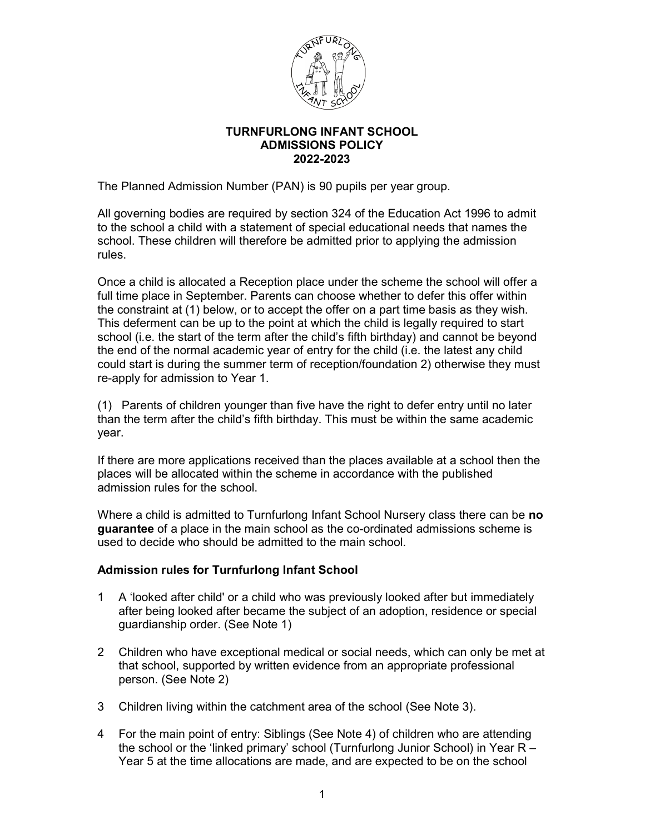

# TURNFURLONG INFANT SCHOOL ADMISSIONS POLICY 2022-2023

The Planned Admission Number (PAN) is 90 pupils per year group.

All governing bodies are required by section 324 of the Education Act 1996 to admit to the school a child with a statement of special educational needs that names the school. These children will therefore be admitted prior to applying the admission rules.

Once a child is allocated a Reception place under the scheme the school will offer a full time place in September. Parents can choose whether to defer this offer within the constraint at (1) below, or to accept the offer on a part time basis as they wish. This deferment can be up to the point at which the child is legally required to start school (i.e. the start of the term after the child's fifth birthday) and cannot be beyond the end of the normal academic year of entry for the child (i.e. the latest any child could start is during the summer term of reception/foundation 2) otherwise they must re-apply for admission to Year 1.

(1) Parents of children younger than five have the right to defer entry until no later than the term after the child's fifth birthday. This must be within the same academic year.

If there are more applications received than the places available at a school then the places will be allocated within the scheme in accordance with the published admission rules for the school.

Where a child is admitted to Turnfurlong Infant School Nursery class there can be no guarantee of a place in the main school as the co-ordinated admissions scheme is used to decide who should be admitted to the main school.

# Admission rules for Turnfurlong Infant School

- 1 A 'looked after child' or a child who was previously looked after but immediately after being looked after became the subject of an adoption, residence or special guardianship order. (See Note 1)
- 2 Children who have exceptional medical or social needs, which can only be met at that school, supported by written evidence from an appropriate professional person. (See Note 2)
- 3 Children living within the catchment area of the school (See Note 3).
- 4 For the main point of entry: Siblings (See Note 4) of children who are attending the school or the 'linked primary' school (Turnfurlong Junior School) in Year R – Year 5 at the time allocations are made, and are expected to be on the school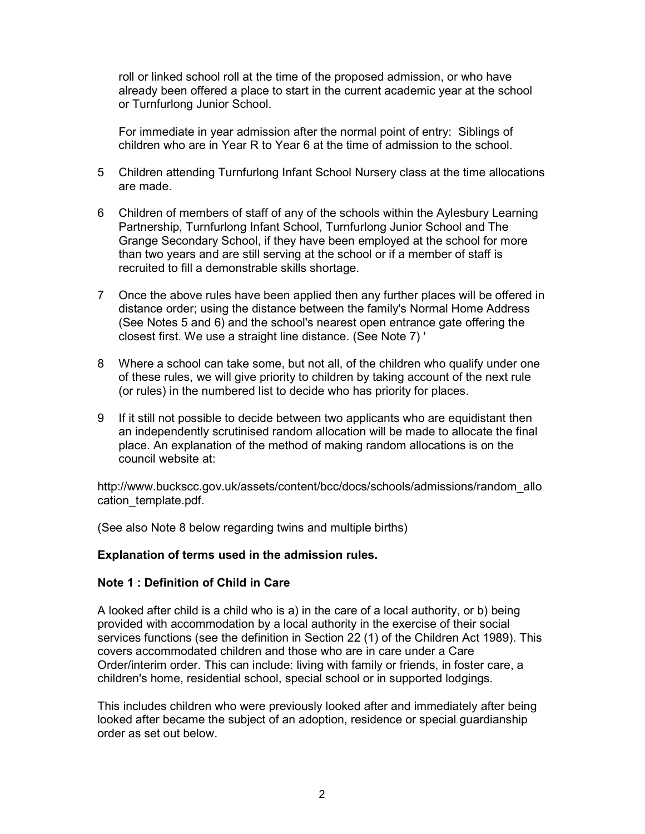roll or linked school roll at the time of the proposed admission, or who have already been offered a place to start in the current academic year at the school or Turnfurlong Junior School.

For immediate in year admission after the normal point of entry: Siblings of children who are in Year R to Year 6 at the time of admission to the school.

- 5 Children attending Turnfurlong Infant School Nursery class at the time allocations are made.
- 6 Children of members of staff of any of the schools within the Aylesbury Learning Partnership, Turnfurlong Infant School, Turnfurlong Junior School and The Grange Secondary School, if they have been employed at the school for more than two years and are still serving at the school or if a member of staff is recruited to fill a demonstrable skills shortage.
- 7 Once the above rules have been applied then any further places will be offered in distance order; using the distance between the family's Normal Home Address (See Notes 5 and 6) and the school's nearest open entrance gate offering the closest first. We use a straight line distance. (See Note 7) '
- 8 Where a school can take some, but not all, of the children who qualify under one of these rules, we will give priority to children by taking account of the next rule (or rules) in the numbered list to decide who has priority for places.
- 9 If it still not possible to decide between two applicants who are equidistant then an independently scrutinised random allocation will be made to allocate the final place. An explanation of the method of making random allocations is on the council website at:

http://www.buckscc.gov.uk/assets/content/bcc/docs/schools/admissions/random\_allo cation\_template.pdf.

(See also Note 8 below regarding twins and multiple births)

# Explanation of terms used in the admission rules.

### Note 1 : Definition of Child in Care

A looked after child is a child who is a) in the care of a local authority, or b) being provided with accommodation by a local authority in the exercise of their social services functions (see the definition in Section 22 (1) of the Children Act 1989). This covers accommodated children and those who are in care under a Care Order/interim order. This can include: living with family or friends, in foster care, a children's home, residential school, special school or in supported lodgings.

This includes children who were previously looked after and immediately after being looked after became the subject of an adoption, residence or special guardianship order as set out below.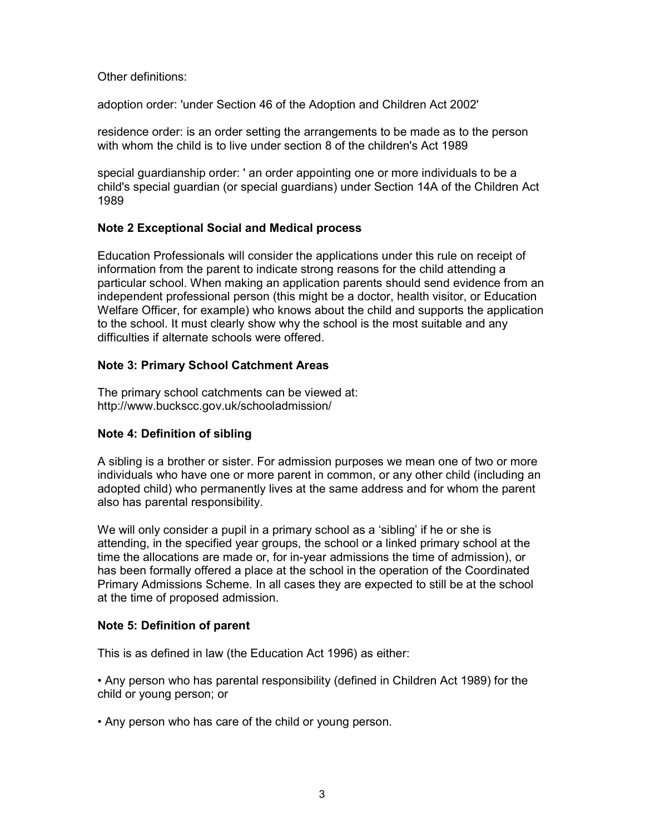Other definitions:

adoption order: 'under Section 46 of the Adoption and Children Act 2002'

residence order: is an order setting the arrangements to be made as to the person with whom the child is to live under section 8 of the children's Act 1989

special guardianship order: ' an order appointing one or more individuals to be a child's special guardian (or special guardians) under Section 14A of the Children Act 1989

### Note 2 Exceptional Social and Medical process

Education Professionals will consider the applications under this rule on receipt of information from the parent to indicate strong reasons for the child attending a particular school. When making an application parents should send evidence from an independent professional person (this might be a doctor, health visitor, or Education Welfare Officer, for example) who knows about the child and supports the application to the school. It must clearly show why the school is the most suitable and any difficulties if alternate schools were offered.

### Note 3: Primary School Catchment Areas

The primary school catchments can be viewed at: http://www.buckscc.gov.uk/schooladmission/

### Note 4: Definition of sibling

A sibling is a brother or sister. For admission purposes we mean one of two or more individuals who have one or more parent in common, or any other child (including an adopted child) who permanently lives at the same address and for whom the parent also has parental responsibility.

We will only consider a pupil in a primary school as a 'sibling' if he or she is attending, in the specified year groups, the school or a linked primary school at the time the allocations are made or, for in-year admissions the time of admission), or has been formally offered a place at the school in the operation of the Coordinated Primary Admissions Scheme. In all cases they are expected to still be at the school at the time of proposed admission.

### Note 5: Definition of parent

This is as defined in law (the Education Act 1996) as either:

• Any person who has parental responsibility (defined in Children Act 1989) for the child or young person; or

• Any person who has care of the child or young person.